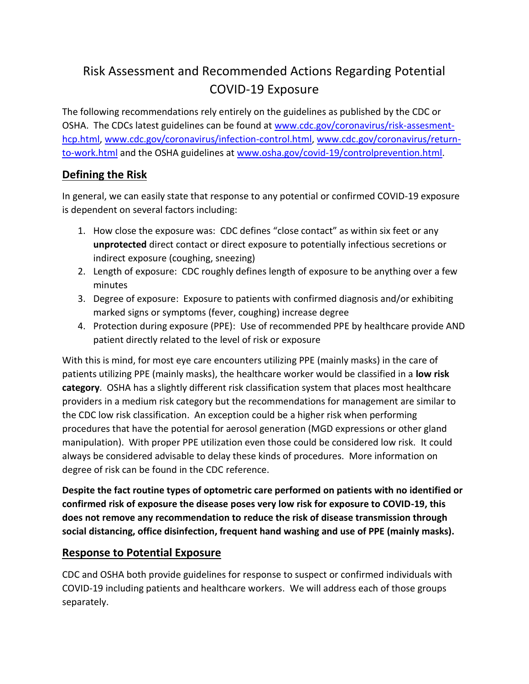# Risk Assessment and Recommended Actions Regarding Potential COVID-19 Exposure

The following recommendations rely entirely on the guidelines as published by the CDC or OSHA. The CDCs latest guidelines can be found at [www.cdc.gov/coronavirus/risk-assesment](https://www.cdc.gov/coronavirus/2019-ncov/hcp/guidance-risk-assesment-hcp.html)[hcp.html,](https://www.cdc.gov/coronavirus/2019-ncov/hcp/guidance-risk-assesment-hcp.html) [www.cdc.gov/coronavirus/infection-control.html,](https://www.cdc.gov/coronavirus/2019-ncov/hcp/infection-control-recommendations.html) [www.cdc.gov/coronavirus/return](https://www.cdc.gov/coronavirus/2019-ncov/hcp/return-to-work.html?CDC_AA_refVal=https%3A%2F%2Fwww.cdc.gov%2Fcoronavirus%2F2019-ncov%2Fhealthcare-facilities%2Fhcp-return-work.html)[to-work.html](https://www.cdc.gov/coronavirus/2019-ncov/hcp/return-to-work.html?CDC_AA_refVal=https%3A%2F%2Fwww.cdc.gov%2Fcoronavirus%2F2019-ncov%2Fhealthcare-facilities%2Fhcp-return-work.html) and the OSHA guidelines at [www.osha.gov/covid-19/controlprevention.html.](https://www.osha.gov/SLTC/covid-19/controlprevention.html)

## **Defining the Risk**

In general, we can easily state that response to any potential or confirmed COVID-19 exposure is dependent on several factors including:

- 1. How close the exposure was: CDC defines "close contact" as within six feet or any **unprotected** direct contact or direct exposure to potentially infectious secretions or indirect exposure (coughing, sneezing)
- 2. Length of exposure: CDC roughly defines length of exposure to be anything over a few minutes
- 3. Degree of exposure: Exposure to patients with confirmed diagnosis and/or exhibiting marked signs or symptoms (fever, coughing) increase degree
- 4. Protection during exposure (PPE): Use of recommended PPE by healthcare provide AND patient directly related to the level of risk or exposure

With this is mind, for most eye care encounters utilizing PPE (mainly masks) in the care of patients utilizing PPE (mainly masks), the healthcare worker would be classified in a **low risk category**. OSHA has a slightly different risk classification system that places most healthcare providers in a medium risk category but the recommendations for management are similar to the CDC low risk classification. An exception could be a higher risk when performing procedures that have the potential for aerosol generation (MGD expressions or other gland manipulation). With proper PPE utilization even those could be considered low risk. It could always be considered advisable to delay these kinds of procedures. More information on degree of risk can be found in the CDC reference.

**Despite the fact routine types of optometric care performed on patients with no identified or confirmed risk of exposure the disease poses very low risk for exposure to COVID-19, this does not remove any recommendation to reduce the risk of disease transmission through social distancing, office disinfection, frequent hand washing and use of PPE (mainly masks).**

## **Response to Potential Exposure**

CDC and OSHA both provide guidelines for response to suspect or confirmed individuals with COVID-19 including patients and healthcare workers. We will address each of those groups separately.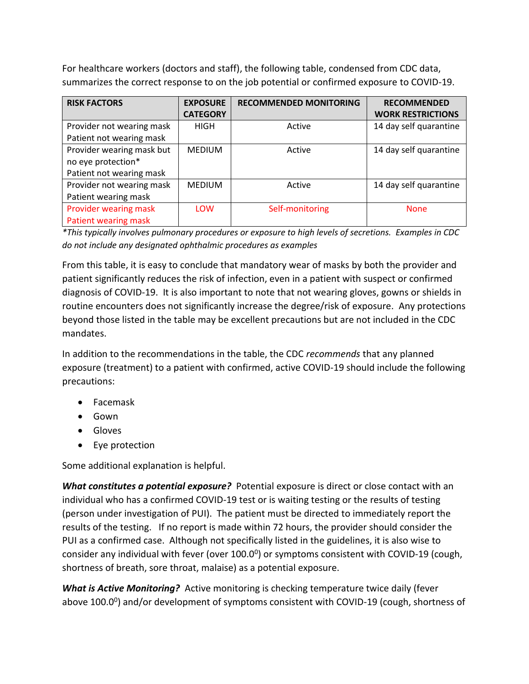For healthcare workers (doctors and staff), the following table, condensed from CDC data, summarizes the correct response to on the job potential or confirmed exposure to COVID-19.

| <b>RISK FACTORS</b>                                                         | <b>EXPOSURE</b><br><b>CATEGORY</b> | <b>RECOMMENDED MONITORING</b> | <b>RECOMMENDED</b><br><b>WORK RESTRICTIONS</b> |
|-----------------------------------------------------------------------------|------------------------------------|-------------------------------|------------------------------------------------|
| Provider not wearing mask<br>Patient not wearing mask                       | <b>HIGH</b>                        | Active                        | 14 day self quarantine                         |
| Provider wearing mask but<br>no eye protection*<br>Patient not wearing mask | <b>MEDIUM</b>                      | Active                        | 14 day self quarantine                         |
| Provider not wearing mask<br>Patient wearing mask                           | <b>MEDIUM</b>                      | Active                        | 14 day self quarantine                         |
| Provider wearing mask<br>Patient wearing mask                               | <b>LOW</b>                         | Self-monitoring               | <b>None</b>                                    |

*\*This typically involves pulmonary procedures or exposure to high levels of secretions. Examples in CDC do not include any designated ophthalmic procedures as examples*

From this table, it is easy to conclude that mandatory wear of masks by both the provider and patient significantly reduces the risk of infection, even in a patient with suspect or confirmed diagnosis of COVID-19. It is also important to note that not wearing gloves, gowns or shields in routine encounters does not significantly increase the degree/risk of exposure. Any protections beyond those listed in the table may be excellent precautions but are not included in the CDC mandates.

In addition to the recommendations in the table, the CDC *recommends* that any planned exposure (treatment) to a patient with confirmed, active COVID-19 should include the following precautions:

- Facemask
- Gown
- Gloves
- Eye protection

Some additional explanation is helpful.

*What constitutes a potential exposure?* Potential exposure is direct or close contact with an individual who has a confirmed COVID-19 test or is waiting testing or the results of testing (person under investigation of PUI). The patient must be directed to immediately report the results of the testing. If no report is made within 72 hours, the provider should consider the PUI as a confirmed case. Although not specifically listed in the guidelines, it is also wise to consider any individual with fever (over  $100.0^0$ ) or symptoms consistent with COVID-19 (cough, shortness of breath, sore throat, malaise) as a potential exposure.

*What is Active Monitoring?* Active monitoring is checking temperature twice daily (fever above 100.0<sup>0</sup>) and/or development of symptoms consistent with COVID-19 (cough, shortness of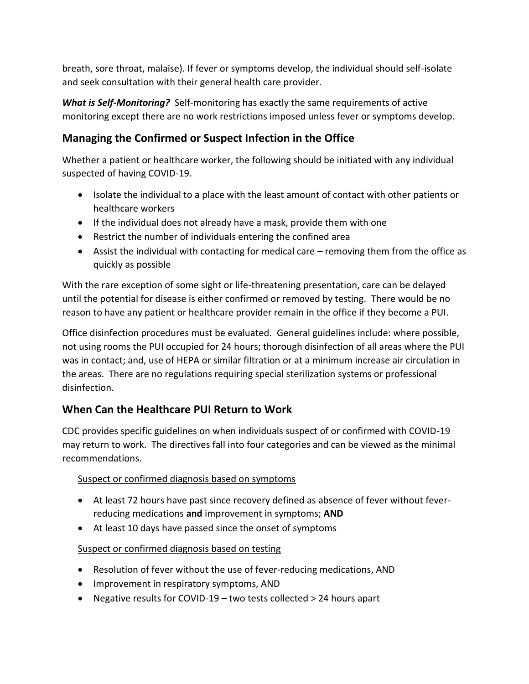breath, sore throat, malaise). If fever or symptoms develop, the individual should self-isolate and seek consultation with their general health care provider.

*What is Self-Monitoring?* Self-monitoring has exactly the same requirements of active monitoring except there are no work restrictions imposed unless fever or symptoms develop.

# **Managing the Confirmed or Suspect Infection in the Office**

Whether a patient or healthcare worker, the following should be initiated with any individual suspected of having COVID-19.

- Isolate the individual to a place with the least amount of contact with other patients or healthcare workers
- If the individual does not already have a mask, provide them with one
- Restrict the number of individuals entering the confined area
- Assist the individual with contacting for medical care removing them from the office as quickly as possible

With the rare exception of some sight or life-threatening presentation, care can be delayed until the potential for disease is either confirmed or removed by testing. There would be no reason to have any patient or healthcare provider remain in the office if they become a PUI.

Office disinfection procedures must be evaluated. General guidelines include: where possible, not using rooms the PUI occupied for 24 hours; thorough disinfection of all areas where the PUI was in contact; and, use of HEPA or similar filtration or at a minimum increase air circulation in the areas. There are no regulations requiring special sterilization systems or professional disinfection.

# **When Can the Healthcare PUI Return to Work**

CDC provides specific guidelines on when individuals suspect of or confirmed with COVID-19 may return to work. The directives fall into four categories and can be viewed as the minimal recommendations.

#### Suspect or confirmed diagnosis based on symptoms

- At least 72 hours have past since recovery defined as absence of fever without feverreducing medications **and** improvement in symptoms; **AND**
- At least 10 days have passed since the onset of symptoms

#### Suspect or confirmed diagnosis based on testing

- Resolution of fever without the use of fever-reducing medications, AND
- Improvement in respiratory symptoms, AND
- Negative results for COVID-19 two tests collected > 24 hours apart